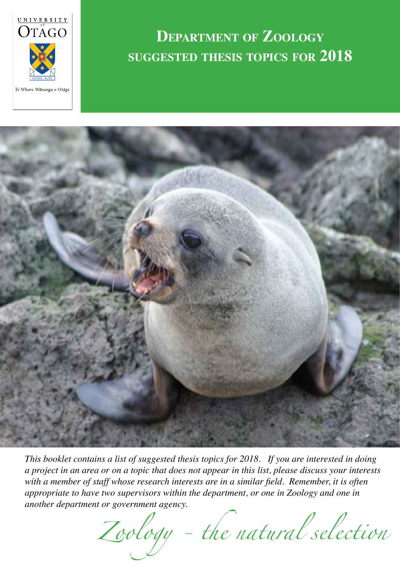

# **Department of Zoology suggested thesis topics for 2018**



*This booklet contains a list of suggested thesis topics for 2018. If you are interested in doing a project in an area or on a topic that does not appear in this list, please discuss your interests with a member of staff whose research interests are in a similar field. Remember, it is often appropriate to have two supervisors within the department, or one in Zoology and one in another department or government agency.*

*Zoology - the natural selection*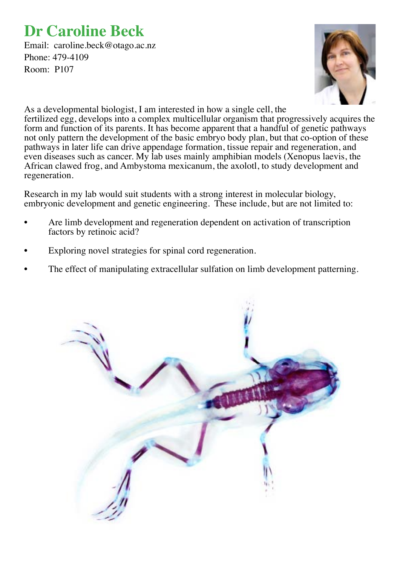### **Dr Caroline Beck**

Email: caroline.beck@otago.ac.nz Phone: 479-4109 Room: P107



As a developmental biologist, I am interested in how a single cell, the fertilized egg, develops into a complex multicellular organism that progressively acquires the form and function of its parents. It has become apparent that a handful of genetic pathways not only pattern the development of the basic embryo body plan, but that co-option of these pathways in later life can drive appendage formation, tissue repair and regeneration, and even diseases such as cancer. My lab uses mainly amphibian models (Xenopus laevis, the African clawed frog, and Ambystoma mexicanum, the axolotl, to study development and regeneration.

Research in my lab would suit students with a strong interest in molecular biology, embryonic development and genetic engineering. These include, but are not limited to:

- Are limb development and regeneration dependent on activation of transcription factors by retinoic acid?
- Exploring novel strategies for spinal cord regeneration.
- The effect of manipulating extracellular sulfation on limb development patterning.

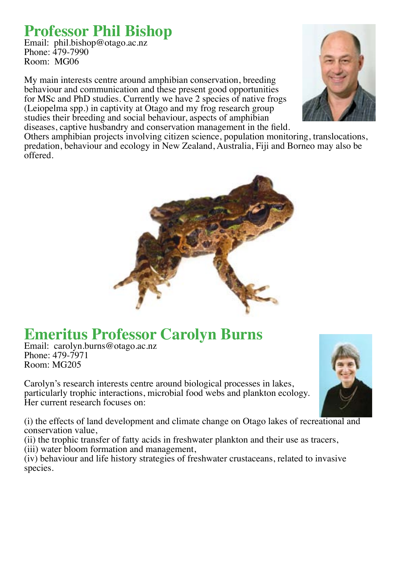### **Professor Phil Bishop**

Email: phil.bishop@otago.ac.nz Phone: 479-7990 Room: MG06

My main interests centre around amphibian conservation, breeding behaviour and communication and these present good opportunities for MSc and PhD studies. Currently we have 2 species of native frogs (Leiopelma spp.) in captivity at Otago and my frog research group studies their breeding and social behaviour, aspects of amphibian diseases, captive husbandry and conservation management in the field.



Others amphibian projects involving citizen science, population monitoring, translocations, predation, behaviour and ecology in New Zealand, Australia, Fiji and Borneo may also be offered.



# **Emeritus Professor Carolyn Burns**

Email: carolyn.burns@otago.ac.nz Phone: 479-7971 Room: MG205

Carolyn's research interests centre around biological processes in lakes, particularly trophic interactions, microbial food webs and plankton ecology. Her current research focuses on:

(i) the effects of land development and climate change on Otago lakes of recreational and conservation value,

(ii) the trophic transfer of fatty acids in freshwater plankton and their use as tracers, (iii) water bloom formation and management,

(iv) behaviour and life history strategies of freshwater crustaceans, related to invasive species.

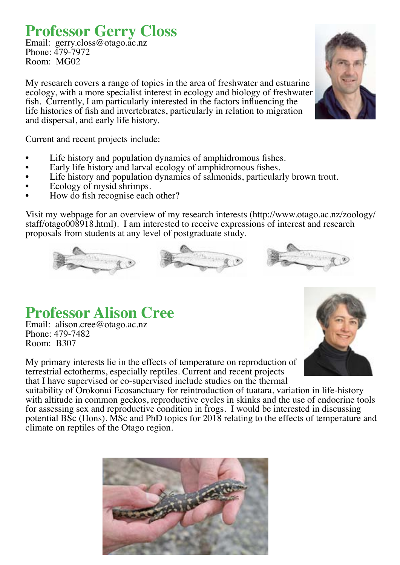### **Professor Gerry Closs**

Email: gerry.closs@otago.ac.nz Phone: 479-7972 Room: MG02

My research covers a range of topics in the area of freshwater and estuarine ecology, with a more specialist interest in ecology and biology of freshwater fish. Currently, I am particularly interested in the factors influencing the life histories of fish and invertebrates, particularly in relation to migration and dispersal, and early life history.

Current and recent projects include:

- Life history and population dynamics of amphidromous fishes.
- Early life history and larval ecology of amphidromous fishes.
- Life history and population dynamics of salmonids, particularly brown trout.
- Ecology of mysid shrimps.
- How do fish recognise each other?

Visit my webpage for an overview of my research interests (http://www.otago.ac.nz/zoology/ staff/otago008918.html). I am interested to receive expressions of interest and research proposals from students at any level of postgraduate study.

### **Professor Alison Cree**

Email: alison.cree@otago.ac.nz Phone: 479-7482 Room: B307

My primary interests lie in the effects of temperature on reproduction of terrestrial ectotherms, especially reptiles. Current and recent projects that I have supervised or co-supervised include studies on the thermal

suitability of Orokonui Ecosanctuary for reintroduction of tuatara, variation in life-history with altitude in common geckos, reproductive cycles in skinks and the use of endocrine tools for assessing sex and reproductive condition in frogs. I would be interested in discussing potential BSc (Hons), MSc and PhD topics for 2018 relating to the effects of temperature and climate on reptiles of the Otago region.





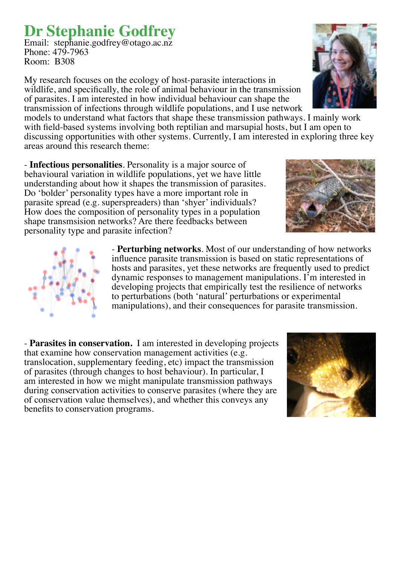# **Dr Stephanie Godfrey**

Email: stephanie.godfrey@otago.ac.nz Phone: 479-7963 Room: B308

My research focuses on the ecology of host-parasite interactions in wildlife, and specifically, the role of animal behaviour in the transmission of parasites. I am interested in how individual behaviour can shape the transmission of infections through wildlife populations, and I use network

models to understand what factors that shape these transmission pathways. I mainly work with field-based systems involving both reptilian and marsupial hosts, but I am open to discussing opportunities with other systems. Currently, I am interested in exploring three key areas around this research theme:

- **Infectious personalities**. Personality is a major source of behavioural variation in wildlife populations, yet we have little understanding about how it shapes the transmission of parasites. Do 'bolder' personality types have a more important role in parasite spread (e.g. superspreaders) than 'shyer' individuals? How does the composition of personality types in a population shape transmsision networks? Are there feedbacks between personality type and parasite infection?

> - **Perturbing networks**. Most of our understanding of how networks influence parasite transmission is based on static representations of hosts and parasites, yet these networks are frequently used to predict dynamic responses to management manipulations. I'm interested in developing projects that empirically test the resilience of networks to perturbations (both 'natural' perturbations or experimental manipulations), and their consequences for parasite transmission.

- **Parasites in conservation.** I am interested in developing projects that examine how conservation management activities (e.g. translocation, supplementary feeding, etc) impact the transmission of parasites (through changes to host behaviour). In particular, I am interested in how we might manipulate transmission pathways during conservation activities to conserve parasites (where they are of conservation value themselves), and whether this conveys any benefits to conservation programs.







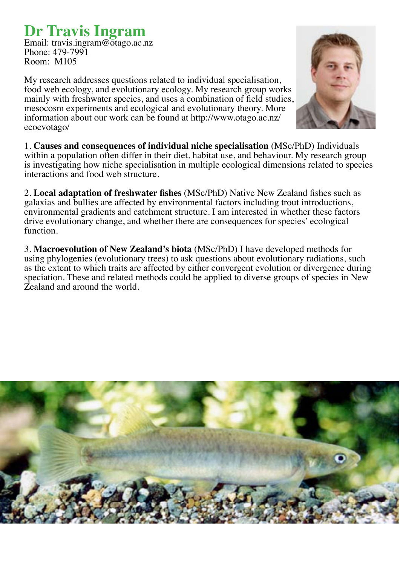# **Dr Travis Ingram**<br>Email: travis.ingram@otago.ac.nz

Phone: 479-7991 Room: M105

My research addresses questions related to individual specialisation, food web ecology, and evolutionary ecology. My research group works mainly with freshwater species, and uses a combination of field studies, mesocosm experiments and ecological and evolutionary theory. More information about our work can be found at http://www.otago.ac.nz/ ecoevotago/



1. **Causes and consequences of individual niche specialisation** (MSc/PhD) Individuals within a population often differ in their diet, habitat use, and behaviour. My research group is investigating how niche specialisation in multiple ecological dimensions related to species interactions and food web structure.

2. **Local adaptation of freshwater fishes** (MSc/PhD) Native New Zealand fishes such as galaxias and bullies are affected by environmental factors including trout introductions, environmental gradients and catchment structure. I am interested in whether these factors drive evolutionary change, and whether there are consequences for species' ecological function.

3. **Macroevolution of New Zealand's biota** (MSc/PhD) I have developed methods for using phylogenies (evolutionary trees) to ask questions about evolutionary radiations, such as the extent to which traits are affected by either convergent evolution or divergence during speciation. These and related methods could be applied to diverse groups of species in New Zealand and around the world.

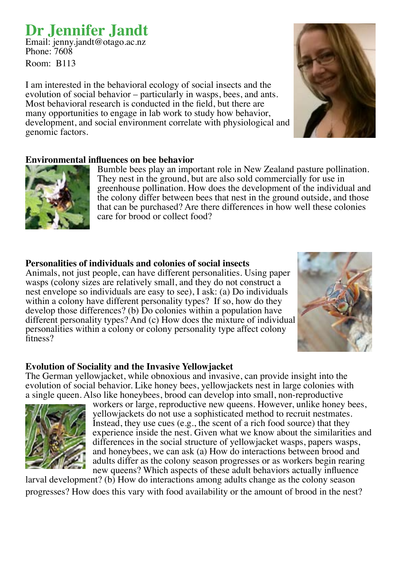### **Dr Jennifer Jandt**

Email: jenny.jandt@otago.ac.nz Phone: 7608

Room: B113

I am interested in the behavioral ecology of social insects and the evolution of social behavior – particularly in wasps, bees, and ants. Most behavioral research is conducted in the field, but there are many opportunities to engage in lab work to study how behavior, development, and social environment correlate with physiological and genomic factors.

#### **Environmental influences on bee behavior**



Bumble bees play an important role in New Zealand pasture pollination. They nest in the ground, but are also sold commercially for use in greenhouse pollination. How does the development of the individual and the colony differ between bees that nest in the ground outside, and those that can be purchased? Are there differences in how well these colonies care for brood or collect food?

#### **Personalities of individuals and colonies of social insects**

Animals, not just people, can have different personalities. Using paper wasps (colony sizes are relatively small, and they do not construct a nest envelope so individuals are easy to see), I ask: (a) Do individuals within a colony have different personality types? If so, how do they develop those differences? (b) Do colonies within a population have different personality types? And (c) How does the mixture of individual personalities within a colony or colony personality type affect colony fitness?



#### **Evolution of Sociality and the Invasive Yellowjacket**

The German yellowjacket, while obnoxious and invasive, can provide insight into the evolution of social behavior. Like honey bees, yellowjackets nest in large colonies with a single queen. Also like honeybees, brood can develop into small, non-reproductive



workers or large, reproductive new queens. However, unlike honey bees, yellowjackets do not use a sophisticated method to recruit nestmates. Instead, they use cues (e.g., the scent of a rich food source) that they experience inside the nest. Given what we know about the similarities and differences in the social structure of yellowjacket wasps, papers wasps, and honeybees, we can ask (a) How do interactions between brood and adults differ as the colony season progresses or as workers begin rearing new queens? Which aspects of these adult behaviors actually influence

larval development? (b) How do interactions among adults change as the colony season progresses? How does this vary with food availability or the amount of brood in the nest?

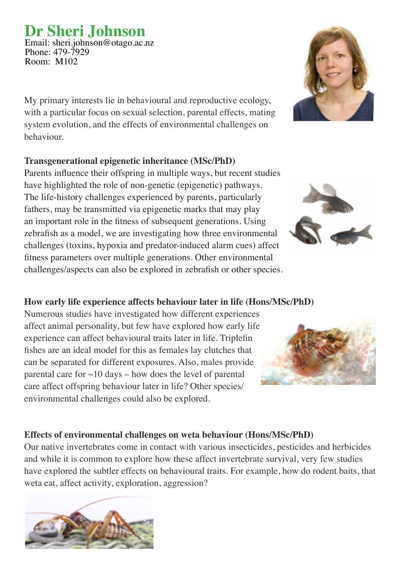### **Dr Sheri Johnson**

Email: sheri.johnson@otago.ac.nz Phone: 479-7929 Room: M102

My primary interests lie in behavioural and reproductive ecology, with a particular focus on sexual selection, parental effects, mating system evolution, and the effects of environmental challenges on behaviour.

### **Transgenerational epigenetic inheritance (MSc/PhD)**

Parents influence their offspring in multiple ways, but recent studies have highlighted the role of non-genetic (epigenetic) pathways. The life-history challenges experienced by parents, particularly fathers, may be transmitted via epigenetic marks that may play an important role in the fitness of subsequent generations. Using zebrafish as a model, we are investigating how three environmental challenges (toxins, hypoxia and predator-induced alarm cues) affect fitness parameters over multiple generations. Other environmental challenges/aspects can also be explored in zebrafish or other species.

### **How early life experience affects behaviour later in life (Hons/MSc/PhD)**

Numerous studies have investigated how different experiences affect animal personality, but few have explored how early life experience can affect behavioural traits later in life. Triplefin fishes are an ideal model for this as females lay clutches that can be separated for different exposures. Also, males provide parental care for  $\sim$ 10 days – how does the level of parental care affect offspring behaviour later in life? Other species/ environmental challenges could also be explored.

### **Effects of environmental challenges on weta behaviour (Hons/MSc/PhD)**

Our native invertebrates come in contact with various insecticides, pesticides and herbicides and while it is common to explore how these affect invertebrate survival, very few studies have explored the subtler effects on behavioural traits. For example, how do rodent baits, that weta eat, affect activity, exploration, aggression?







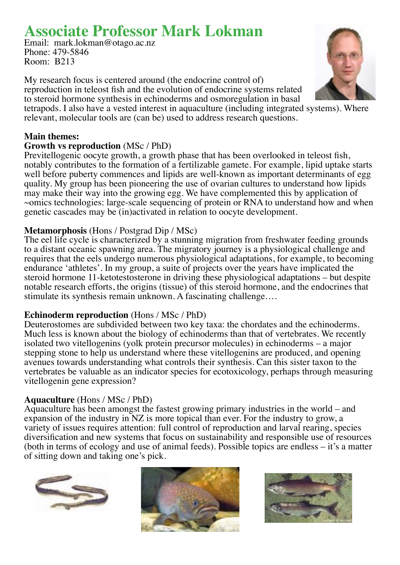### **Associate Professor Mark Lokman**

Email: mark.lokman@otago.ac.nz Phone: 479-5846 Room: B213

My research focus is centered around (the endocrine control of) reproduction in teleost fish and the evolution of endocrine systems related to steroid hormone synthesis in echinoderms and osmoregulation in basal tetrapods. I also have a vested interest in aquaculture (including integrated systems). Where

relevant, molecular tools are (can be) used to address research questions.

#### **Main themes:**

#### **Growth vs reproduction** (MSc / PhD)

Previtellogenic oocyte growth, a growth phase that has been overlooked in teleost fish, notably contributes to the formation of a fertilizable gamete. For example, lipid uptake starts well before puberty commences and lipids are well-known as important determinants of egg quality. My group has been pioneering the use of ovarian cultures to understand how lipids may make their way into the growing egg. We have complemented this by application of ~omics technologies: large-scale sequencing of protein or RNA to understand how and when genetic cascades may be (in)activated in relation to oocyte development.

#### **Metamorphosis** (Hons / Postgrad Dip / MSc)

The eel life cycle is characterized by a stunning migration from freshwater feeding grounds to a distant oceanic spawning area. The migratory journey is a physiological challenge and requires that the eels undergo numerous physiological adaptations, for example, to becoming endurance 'athletes'. In my group, a suite of projects over the years have implicated the steroid hormone 11-ketotestosterone in driving these physiological adaptations – but despite notable research efforts, the origins (tissue) of this steroid hormone, and the endocrines that stimulate its synthesis remain unknown. A fascinating challenge….

#### **Echinoderm reproduction** (Hons / MSc / PhD)

Deuterostomes are subdivided between two key taxa: the chordates and the echinoderms. Much less is known about the biology of echinoderms than that of vertebrates. We recently isolated two vitellogenins (yolk protein precursor molecules) in echinoderms – a major stepping stone to help us understand where these vitellogenins are produced, and opening avenues towards understanding what controls their synthesis. Can this sister taxon to the vertebrates be valuable as an indicator species for ecotoxicology, perhaps through measuring vitellogenin gene expression?

#### **Aquaculture** (Hons / MSc / PhD)

Aquaculture has been amongst the fastest growing primary industries in the world – and expansion of the industry in NZ is more topical than ever. For the industry to grow, a variety of issues requires attention: full control of reproduction and larval rearing, species diversification and new systems that focus on sustainability and responsible use of resources (both in terms of ecology and use of animal feeds). Possible topics are endless – it's a matter of sitting down and taking one's pick.







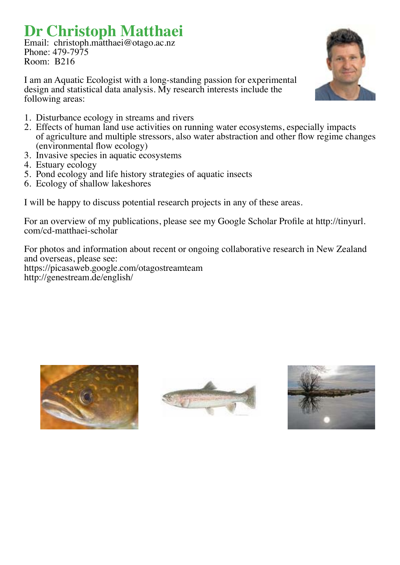# **Dr Christoph Matthaei**

Email: christoph.matthaei@otago.ac.nz Phone: 479-7975 Room: B216

I am an Aquatic Ecologist with a long-standing passion for experimental design and statistical data analysis. My research interests include the following areas:



- 1. Disturbance ecology in streams and rivers
- 2. Effects of human land use activities on running water ecosystems, especially impacts of agriculture and multiple stressors, also water abstraction and other flow regime changes (environmental flow ecology)
- 3. Invasive species in aquatic ecosystems
- 4. Estuary ecology
- 5. Pond ecology and life history strategies of aquatic insects
- 6. Ecology of shallow lakeshores

I will be happy to discuss potential research projects in any of these areas.

For an overview of my publications, please see my Google Scholar Profile at http://tinyurl. com/cd-matthaei-scholar

For photos and information about recent or ongoing collaborative research in New Zealand and overseas, please see: https://picasaweb.google.com/otagostreamteam http://genestream.de/english/





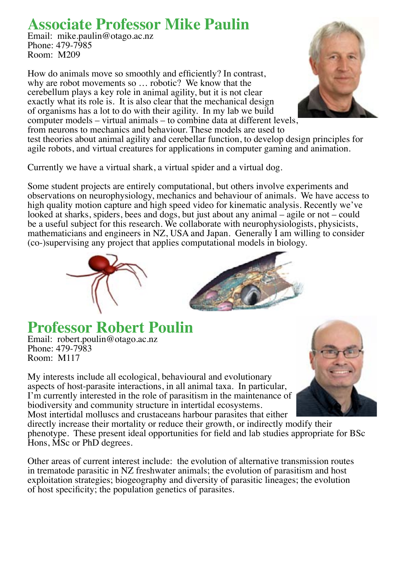### **Associate Professor Mike Paulin**

Email: mike.paulin@otago.ac.nz Phone: 479-7985 Room: M209

How do animals move so smoothly and efficiently? In contrast, why are robot movements so … robotic? We know that the cerebellum plays a key role in animal agility, but it is not clear exactly what its role is. It is also clear that the mechanical design of organisms has a lot to do with their agility. In my lab we build computer models – virtual animals – to combine data at different levels, from neurons to mechanics and behaviour. These models are used to



test theories about animal agility and cerebellar function, to develop design principles for agile robots, and virtual creatures for applications in computer gaming and animation.

Currently we have a virtual shark, a virtual spider and a virtual dog.

Some student projects are entirely computational, but others involve experiments and observations on neurophysiology, mechanics and behaviour of animals. We have access to high quality motion capture and high speed video for kinematic analysis. Recently we've looked at sharks, spiders, bees and dogs, but just about any animal – agile or not – could be a useful subject for this research. We collaborate with neurophysiologists, physicists, mathematicians and engineers in NZ, USA and Japan. Generally I am willing to consider (co-)supervising any project that applies computational models in biology.





**Professor Robert Poulin** Email: robert.poulin@otago.ac.nz Phone: 479-7983 Room: M117

My interests include all ecological, behavioural and evolutionary aspects of host-parasite interactions, in all animal taxa. In particular, I'm currently interested in the role of parasitism in the maintenance of biodiversity and community structure in intertidal ecosystems. Most intertidal molluscs and crustaceans harbour parasites that either

directly increase their mortality or reduce their growth, or indirectly modify their phenotype. These presen<sup>t</sup> ideal opportunities for field and lab studies appropriate for BSc Hons, MSc or PhD degrees.

Other areas of current interest include: the evolution of alternative transmission routes in trematode parasitic in NZ freshwater animals; the evolution of parasitism and host exploitation strategies; biogeography and diversity of parasitic lineages; the evolution of host specificity; the population genetics of parasites.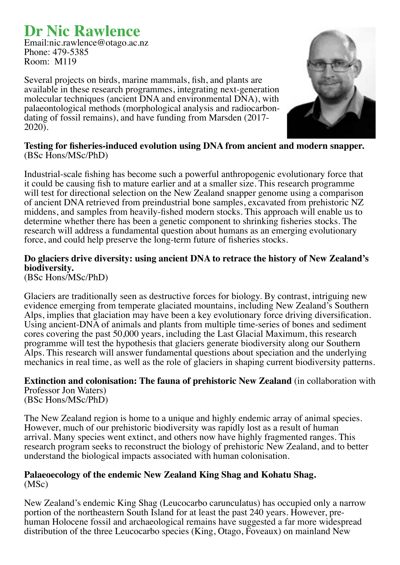### **Dr Nic Rawlence**

Email:nic.rawlence@otago.ac.nz Phone: 479-5385 Room: M119

Several projects on birds, marine mammals, fish, and plants are available in these research programmes, integrating next-generation molecular techniques (ancient DNA and environmental DNA), with palaeontological methods (morphological analysis and radiocarbondating of fossil remains), and have funding from Marsden (2017- 2020).



**Testing for fisheries-induced evolution using DNA from ancient and modern snapper.** (BSc Hons/MSc/PhD)

Industrial-scale fishing has become such a powerful anthropogenic evolutionary force that it could be causing fish to mature earlier and at a smaller size. This research programme will test for directional selection on the New Zealand snapper genome using a comparison of ancient DNA retrieved from preindustrial bone samples, excavated from prehistoric NZ middens, and samples from heavily-fished modern stocks. This approach will enable us to determine whether there has been a genetic component to shrinking fisheries stocks. The research will address a fundamental question about humans as an emerging evolutionary force, and could help preserve the long-term future of fisheries stocks.

### **Do glaciers drive diversity: using ancient DNA to retrace the history of New Zealand's biodiversity.**

(BSc Hons/MSc/PhD)

Glaciers are traditionally seen as destructive forces for biology. By contrast, intriguing new evidence emerging from temperate glaciated mountains, including New Zealand's Southern Alps, implies that glaciation may have been a key evolutionary force driving diversification. Using ancient-DNA of animals and plants from multiple time-series of bones and sediment cores covering the past 50,000 years, including the Last Glacial Maximum, this research programme will test the hypothesis that glaciers generate biodiversity along our Southern Alps. This research will answer fundamental questions about speciation and the underlying mechanics in real time, as well as the role of glaciers in shaping current biodiversity patterns.

**Extinction and colonisation: The fauna of prehistoric New Zealand** (in collaboration with Professor Jon Waters) (BSc Hons/MSc/PhD)

The New Zealand region is home to a unique and highly endemic array of animal species. However, much of our prehistoric biodiversity was rapidly lost as a result of human arrival. Many species went extinct, and others now have highly fragmented ranges. This research program seeks to reconstruct the biology of prehistoric New Zealand, and to better understand the biological impacts associated with human colonisation.

#### **Palaeoecology of the endemic New Zealand King Shag and Kohatu Shag.** (MSc)

New Zealand's endemic King Shag (Leucocarbo carunculatus) has occupied only a narrow portion of the northeastern South Island for at least the past 240 years. However, prehuman Holocene fossil and archaeological remains have suggested a far more widespread distribution of the three Leucocarbo species (King, Otago, Foveaux) on mainland New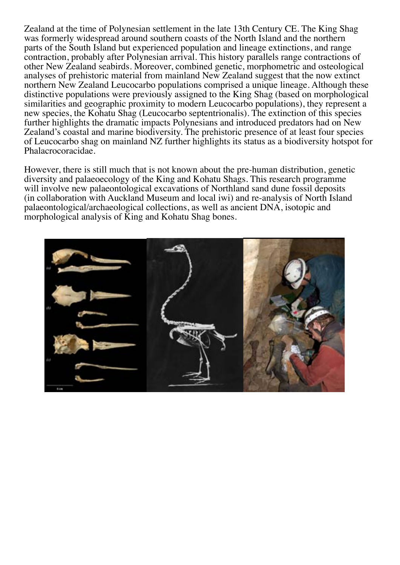Zealand at the time of Polynesian settlement in the late 13th Century CE. The King Shag was formerly widespread around southern coasts of the North Island and the northern parts of the South Island but experienced population and lineage extinctions, and range contraction, probably after Polynesian arrival. This history parallels range contractions of other New Zealand seabirds. Moreover, combined genetic, morphometric and osteological analyses of prehistoric material from mainland New Zealand suggest that the now extinct northern New Zealand Leucocarbo populations comprised a unique lineage. Although these distinctive populations were previously assigned to the King Shag (based on morphological similarities and geographic proximity to modern Leucocarbo populations), they represent a new species, the Kohatu Shag (Leucocarbo septentrionalis). The extinction of this species further highlights the dramatic impacts Polynesians and introduced predators had on New Zealand's coastal and marine biodiversity. The prehistoric presence of at least four species of Leucocarbo shag on mainland NZ further highlights its status as a biodiversity hotspot for Phalacrocoracidae.

However, there is still much that is not known about the pre-human distribution, genetic diversity and palaeoecology of the King and Kohatu Shags. This research programme will involve new palaeontological excavations of Northland sand dune fossil deposits (in collaboration with Auckland Museum and local iwi) and re-analysis of North Island palaeontological/archaeological collections, as well as ancient DNA, isotopic and morphological analysis of King and Kohatu Shag bones.

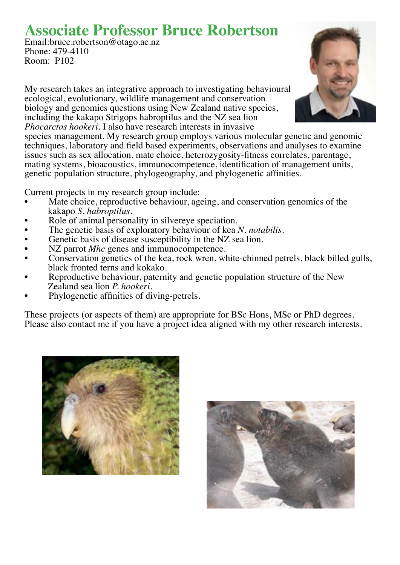### **Associate Professor Bruce Robertson**

Email:bruce.robertson@otago.ac.nz Phone: 479-4110 Room: P102

My research takes an integrative approach to investigating behavioural ecological, evolutionary, wildlife management and conservation biology and genomics questions using New Zealand native species, including the kakapo Strigops habroptilus and the NZ sea lion *Phocarctos hookeri.* I also have research interests in invasive

species management. My research group employs various molecular genetic and genomic techniques, laboratory and field based experiments, observations and analyses to examine issues such as sex allocation, mate choice, heterozygosity-fitness correlates, parentage, mating systems, bioacoustics, immunocompetence, identification of management units, genetic population structure, phylogeography, and phylogenetic affinities.

Current projects in my research group include:

- Mate choice, reproductive behaviour, ageing, and conservation genomics of the kakapo *S. habroptilus.*
- Role of animal personality in silvereye speciation.
- The genetic basis of exploratory behaviour of kea *N. notabilis*.
- Genetic basis of disease susceptibility in the NZ sea lion.
- NZ parrot *Mhc* genes and immunocompetence.
- Conservation genetics of the kea, rock wren, white-chinned petrels, black billed gulls, black fronted terns and kokako.
- Reproductive behaviour, paternity and genetic population structure of the New Zealand sea lion *P. hookeri.*
- Phylogenetic affinities of diving-petrels.

These projects (or aspects of them) are appropriate for BSc Hons, MSc or PhD degrees. Please also contact me if you have a project idea aligned with my other research interests.





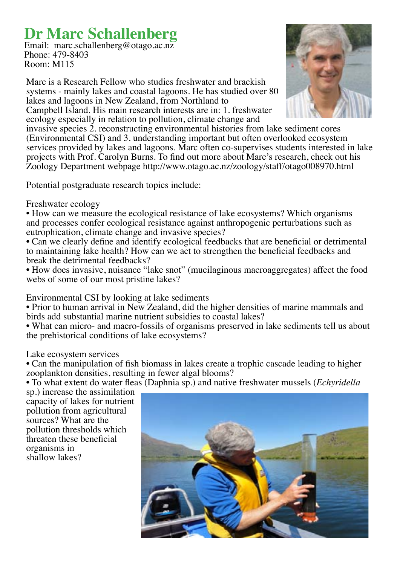### **Dr Marc Schallenberg**

Email: marc.schallenberg@otago.ac.nz Phone: 479-8403 Room: M115

Marc is a Research Fellow who studies freshwater and brackish systems - mainly lakes and coastal lagoons. He has studied over 80 lakes and lagoons in New Zealand, from Northland to Campbell Island. His main research interests are in: 1. freshwater

ecology especially in relation to pollution, climate change and



invasive species 2. reconstructing environmental histories from lake sediment cores (Environmental CSI) and 3. understanding important but often overlooked ecosystem services provided by lakes and lagoons. Marc often co-supervises students interested in lake projects with Prof. Carolyn Burns. To find out more about Marc's research, check out his Zoology Department webpage http://www.otago.ac.nz/zoology/staff/otago008970.html

Potential postgraduate research topics include:

#### Freshwater ecology

• How can we measure the ecological resistance of lake ecosystems? Which organisms and processes confer ecological resistance against anthropogenic perturbations such as eutrophication, climate change and invasive species?

• Can we clearly define and identify ecological feedbacks that are beneficial or detrimental to maintaining lake health? How can we act to strengthen the beneficial feedbacks and break the detrimental feedbacks?

• How does invasive, nuisance "lake snot" (mucilaginous macroaggregates) affect the food webs of some of our most pristine lakes?

#### Environmental CSI by looking at lake sediments

• Prior to human arrival in New Zealand, did the higher densities of marine mammals and birds add substantial marine nutrient subsidies to coastal lakes?

• What can micro- and macro-fossils of organisms preserved in lake sediments tell us about the prehistorical conditions of lake ecosystems?

#### Lake ecosystem services

• Can the manipulation of fish biomass in lakes create a trophic cascade leading to higher zooplankton densities, resulting in fewer algal blooms?

• To what extent do water fleas (Daphnia sp.) and native freshwater mussels (*Echyridella*

sp.) increase the assimilation capacity of lakes for nutrient pollution from agricultural sources? What are the pollution thresholds which threaten these beneficial organisms in shallow lakes?

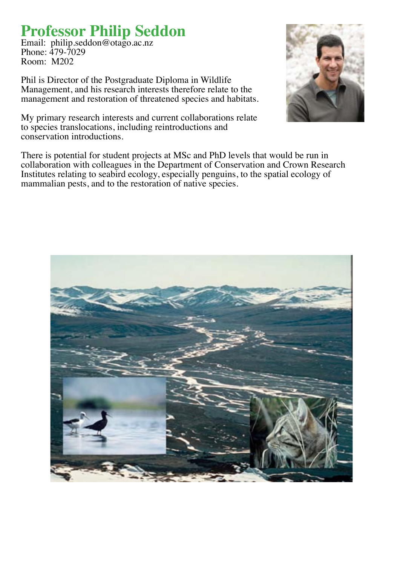### **Professor Philip Seddon**

Email: philip.seddon@otago.ac.nz Phone: 479-7029 Room: M202

Phil is Director of the Postgraduate Diploma in Wildlife Management, and his research interests therefore relate to the management and restoration of threatened species and habitats.

My primary research interests and current collaborations relate to species translocations, including reintroductions and conservation introductions.

There is potential for student projects at MSc and PhD levels that would be run in collaboration with colleagues in the Department of Conservation and Crown Research Institutes relating to seabird ecology, especially penguins, to the spatial ecology of mammalian pests, and to the restoration of native species.



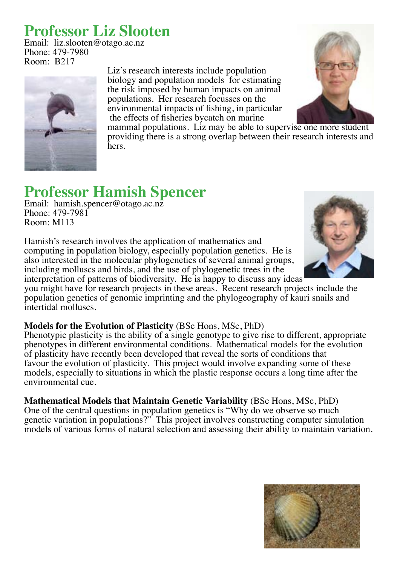### **Professor Liz Slooten**

Email: liz.slooten@otago.ac.nz Phone: 479-7980 Room: B217



Liz's research interests include population biology and population models for estimating the risk imposed by human impacts on animal populations. Her research focusses on the environmental impacts of fishing, in particular the effects of fisheries bycatch on marine



mammal populations. Liz may be able to supervise one more student providing there is a strong overlap between their research interests and hers.

### **Professor Hamish Spencer**

Email: hamish.spencer@otago.ac.nz Phone: 479-7981 Room: M113

Hamish's research involves the application of mathematics and computing in population biology, especially population genetics. He is also interested in the molecular phylogenetics of several animal groups, including molluscs and birds, and the use of phylogenetic trees in the interpretation of patterns of biodiversity. He is happy to discuss any ideas

you might have for research projects in these areas. Recent research projects include the population genetics of genomic imprinting and the phylogeography of kauri snails and intertidal molluscs.

#### **Models for the Evolution of Plasticity** (BSc Hons, MSc, PhD)

Phenotypic plasticity is the ability of a single genotype to give rise to different, appropriate phenotypes in different environmental conditions. Mathematical models for the evolution of plasticity have recently been developed that reveal the sorts of conditions that favour the evolution of plasticity. This project would involve expanding some of these models, especially to situations in which the plastic response occurs a long time after the environmental cue.

**Mathematical Models that Maintain Genetic Variability** (BSc Hons, MSc, PhD) One of the central questions in population genetics is "Why do we observe so much genetic variation in populations?" This project involves constructing computer simulation models of various forms of natural selection and assessing their ability to maintain variation.



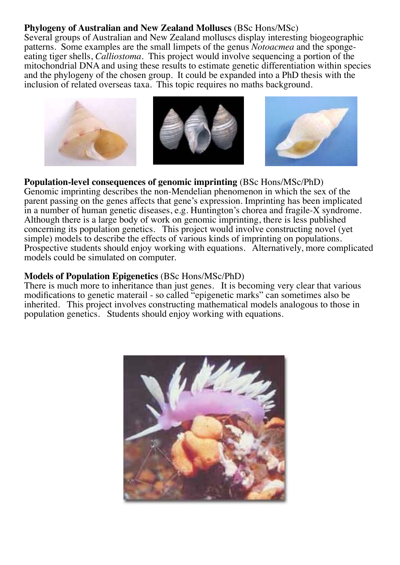#### **Phylogeny of Australian and New Zealand Molluscs** (BSc Hons/MSc)

Several groups of Australian and New Zealand molluscs display interesting biogeographic patterns. Some examples are the small limpets of the genus *Notoacmea* and the spongeeating tiger shells, *Calliostoma.* This project would involve sequencing a portion of the mitochondrial DNA and using these results to estimate genetic differentiation within species and the phylogeny of the chosen group. It could be expanded into a PhD thesis with the inclusion of related overseas taxa. This topic requires no maths background.



#### **Population-level consequences of genomic imprinting** (BSc Hons/MSc/PhD)

Genomic imprinting describes the non-Mendelian phenomenon in which the sex of the parent passing on the genes affects that gene's expression. Imprinting has been implicated in a number of human genetic diseases, e.g. Huntington's chorea and fragile-X syndrome. Although there is a large body of work on genomic imprinting, there is less published concerning its population genetics. This project would involve constructing novel (yet simple) models to describe the effects of various kinds of imprinting on populations. Prospective students should enjoy working with equations. Alternatively, more complicated models could be simulated on computer.

#### **Models of Population Epigenetics** (BSc Hons/MSc/PhD)

There is much more to inheritance than just genes. It is becoming very clear that various modifications to genetic materail - so called "epigenetic marks" can sometimes also be inherited. This project involves constructing mathematical models analogous to those in population genetics. Students should enjoy working with equations.

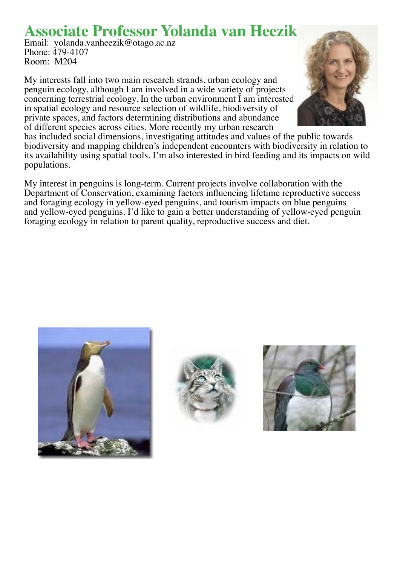### **Associate Professor Yolanda van Heezik**

Email: yolanda.vanheezik@otago.ac.nz Phone: 479-4107 Room: M204

My interests fall into two main research strands, urban ecology and penguin ecology, although I am involved in a wide variety of projects concerning terrestrial ecology. In the urban environment I am interested in spatial ecology and resource selection of wildlife, biodiversity of private spaces, and factors determining distributions and abundance of different species across cities. More recently my urban research



My interest in penguins is long-term. Current projects involve collaboration with the Department of Conservation, examining factors influencing lifetime reproductive success and foraging ecology in yellow-eyed penguins, and tourism impacts on blue penguins and yellow-eyed penguins. I'd like to gain a better understanding of yellow-eyed penguin foraging ecology in relation to parent quality, reproductive success and diet.







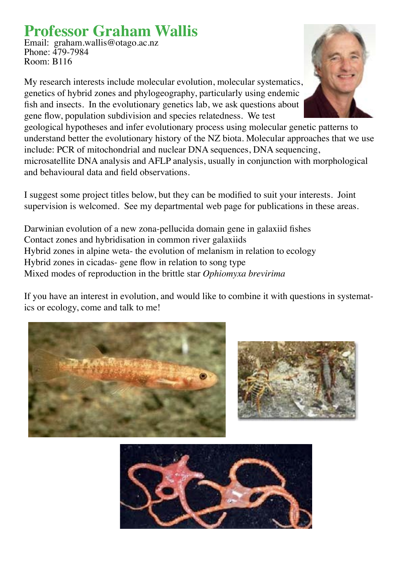# **Professor Graham Wallis**

Email: graham.wallis@otago.ac.nz Phone: 479-7984 Room: B116

My research interests include molecular evolution, molecular systematics, genetics of hybrid zones and phylogeography, particularly using endemic fish and insects. In the evolutionary genetics lab, we ask questions about gene flow, population subdivision and species relatedness. We test



geological hypotheses and infer evolutionary process using molecular genetic patterns to understand better the evolutionary history of the NZ biota. Molecular approaches that we use include: PCR of mitochondrial and nuclear DNA sequences, DNA sequencing, microsatellite DNA analysis and AFLP analysis, usually in conjunction with morphological and behavioural data and field observations.

I suggest some project titles below, but they can be modified to suit your interests. Joint supervision is welcomed. See my departmental web page for publications in these areas.

Darwinian evolution of a new zona-pellucida domain gene in galaxiid fishes Contact zones and hybridisation in common river galaxiids Hybrid zones in alpine weta- the evolution of melanism in relation to ecology Hybrid zones in cicadas- gene flow in relation to song type Mixed modes of reproduction in the brittle star *Ophiomyxa brevirima*

If you have an interest in evolution, and would like to combine it with questions in systematics or ecology, come and talk to me!





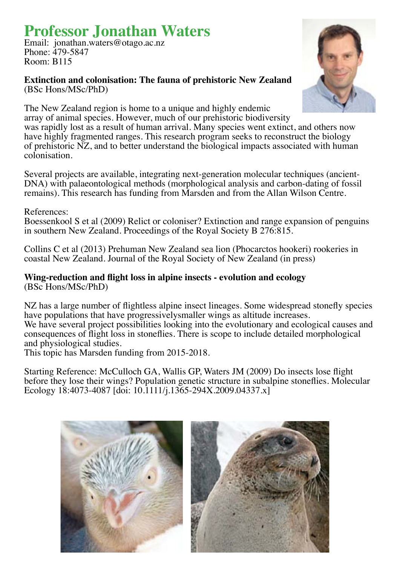# **Professor Jonathan Waters**

Email: jonathan.waters@otago.ac.nz Phone: 479-5847 Room: B115

#### **Extinction and colonisation: The fauna of prehistoric New Zealand**  (BSc Hons/MSc/PhD)



The New Zealand region is home to a unique and highly endemic array of animal species. However, much of our prehistoric biodiversity was rapidly lost as a result of human arrival. Many species went extinct, and others now have highly fragmented ranges. This research program seeks to reconstruct the biology of prehistoric NZ, and to better understand the biological impacts associated with human colonisation.

Several projects are available, integrating next-generation molecular techniques (ancient-DNA) with palaeontological methods (morphological analysis and carbon-dating of fossil remains). This research has funding from Marsden and from the Allan Wilson Centre.

#### References:

Boessenkool S et al (2009) Relict or coloniser? Extinction and range expansion of penguins in southern New Zealand. Proceedings of the Royal Society B 276:815.

Collins C et al (2013) Prehuman New Zealand sea lion (Phocarctos hookeri) rookeries in coastal New Zealand. Journal of the Royal Society of New Zealand (in press)

#### **Wing-reduction and flight loss in alpine insects - evolution and ecology** (BSc Hons/MSc/PhD)

NZ has a large number of flightless alpine insect lineages. Some widespread stonefly species have populations that have progressivelysmaller wings as altitude increases. We have several project possibilities looking into the evolutionary and ecological causes and consequences of flight loss in stoneflies. There is scope to include detailed morphological and physiological studies.

This topic has Marsden funding from 2015-2018.

Starting Reference: McCulloch GA, Wallis GP, Waters JM (2009) Do insects lose flight before they lose their wings? Population genetic structure in subalpine stoneflies. Molecular Ecology 18:4073-4087 [doi: 10.1111/j.1365-294X.2009.04337.x]